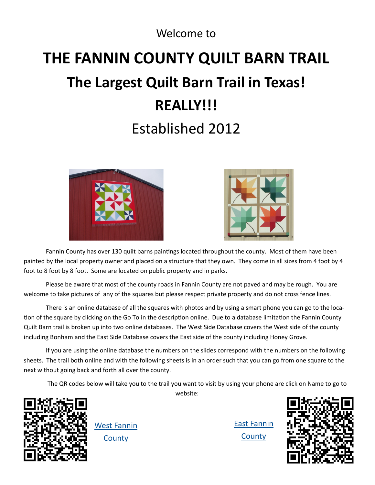#### Welcome to

# **THE FANNIN COUNTY QUILT BARN TRAIL The Largest Quilt Barn Trail in Texas! REALLY!!!** Established 2012





Fannin County has over 130 quilt barns paintings located throughout the county. Most of them have been painted by the local property owner and placed on a structure that they own. They come in all sizes from 4 foot by 4 foot to 8 foot by 8 foot. Some are located on public property and in parks.

Please be aware that most of the county roads in Fannin County are not paved and may be rough. You are welcome to take pictures of any of the squares but please respect private property and do not cross fence lines.

There is an online database of all the squares with photos and by using a smart phone you can go to the location of the square by clicking on the Go To in the description online. Due to a database limitation the Fannin County Quilt Barn trail is broken up into two online databases. The West Side Database covers the West side of the county including Bonham and the East Side Database covers the East side of the county including Honey Grove.

If you are using the online database the numbers on the slides correspond with the numbers on the following sheets. The trail both online and with the following sheets is in an order such that you can go from one square to the next without going back and forth all over the county.

website:

The QR codes below will take you to the trail you want to visit by using your phone are click on Name to go to



[West Fannin](https://fannincounty.maps.arcgis.com/apps/MapTour/index.html?appid=657bda24eb814b41930df09417847127)  **[County](https://fannincounty.maps.arcgis.com/apps/MapTour/index.html?appid=657bda24eb814b41930df09417847127)** 



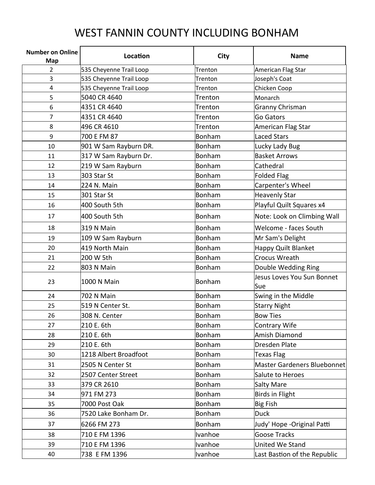### WEST FANNIN COUNTY INCLUDING BONHAM

| <b>Number on Online</b><br>Map | <b>Location</b>         | City          | <b>Name</b>                       |
|--------------------------------|-------------------------|---------------|-----------------------------------|
| 2                              | 535 Cheyenne Trail Loop | Trenton       | American Flag Star                |
| 3                              | 535 Cheyenne Trail Loop | Trenton       | Joseph's Coat                     |
| $\overline{\mathbf{4}}$        | 535 Cheyenne Trail Loop | Trenton       | Chicken Coop                      |
| 5                              | 5040 CR 4640            | Trenton       | Monarch                           |
| 6                              | 4351 CR 4640            | Trenton       | Granny Chrisman                   |
| 7                              | 4351 CR 4640            | Trenton       | Go Gators                         |
| 8                              | 496 CR 4610             | Trenton       | American Flag Star                |
| 9                              | 700 E FM 87             | Bonham        | <b>Laced Stars</b>                |
| 10                             | 901 W Sam Rayburn DR.   | Bonham        | Lucky Lady Bug                    |
| 11                             | 317 W Sam Rayburn Dr.   | Bonham        | <b>Basket Arrows</b>              |
| 12                             | 219 W Sam Rayburn       | Bonham        | Cathedral                         |
| 13                             | 303 Star St             | Bonham        | <b>Folded Flag</b>                |
| 14                             | 224 N. Main             | Bonham        | Carpenter's Wheel                 |
| 15                             | 301 Star St             | Bonham        | <b>Heavenly Star</b>              |
| 16                             | 400 South 5th           | Bonham        | Playful Quilt Squares x4          |
| 17                             | 400 South 5th           | <b>Bonham</b> | Note: Look on Climbing Wall       |
| 18                             | <b>319 N Main</b>       | Bonham        | Welcome - faces South             |
| 19                             | 109 W Sam Rayburn       | Bonham        | Mr Sam's Delight                  |
| 20                             | 419 North Main          | Bonham        | Happy Quilt Blanket               |
| 21                             | 200 W 5th               | Bonham        | <b>Crocus Wreath</b>              |
| 22                             | 803 N Main              | Bonham        | Double Wedding Ring               |
| 23                             | 1000 N Main             | Bonham        | Jesus Loves You Sun Bonnet<br>Sue |
| 24                             | 702 N Main              | Bonham        | Swing in the Middle               |
| 25                             | 519 N Center St.        | Bonham        | <b>Starry Night</b>               |
| 26                             | 308 N. Center           | Bonham        | <b>Bow Ties</b>                   |
| 27                             | 210 E. 6th              | Bonham        | <b>Contrary Wife</b>              |
| 28                             | 210 E. 6th              | Bonham        | <b>Amish Diamond</b>              |
| 29                             | 210 E. 6th              | Bonham        | Dresden Plate                     |
| 30                             | 1218 Albert Broadfoot   | Bonham        | <b>Texas Flag</b>                 |
| 31                             | 2505 N Center St        | Bonham        | Master Gardeners Bluebonnet       |
| 32                             | 2507 Center Street      | Bonham        | Salute to Heroes                  |
| 33                             | 379 CR 2610             | Bonham        | <b>Salty Mare</b>                 |
| 34                             | 971 FM 273              | Bonham        | <b>Birds in Flight</b>            |
| 35                             | 7000 Post Oak           | Bonham        | <b>Big Fish</b>                   |
| 36                             | 7520 Lake Bonham Dr.    | Bonham        | <b>Duck</b>                       |
| 37                             | 6266 FM 273             | Bonham        | Judy' Hope - Original Patti       |
| 38                             | 710 E FM 1396           | Ivanhoe       | <b>Goose Tracks</b>               |
| 39                             | 710 E FM 1396           | Ivanhoe       | United We Stand                   |
| 40                             | 738 E FM 1396           | Ivanhoe       | Last Bastion of the Republic      |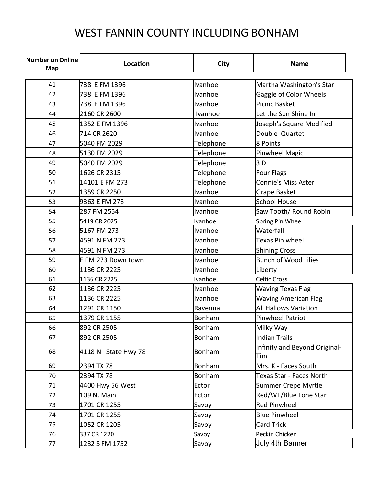### WEST FANNIN COUNTY INCLUDING BONHAM

| <b>Number on Online</b><br>Map | Location             | City      | <b>Name</b>                          |
|--------------------------------|----------------------|-----------|--------------------------------------|
| 41                             | 738 E FM 1396        | Ivanhoe   | Martha Washington's Star             |
| 42                             | 738 E FM 1396        | Ivanhoe   | Gaggle of Color Wheels               |
| 43                             | 738 E FM 1396        | Ivanhoe   | <b>Picnic Basket</b>                 |
| 44                             | 2160 CR 2600         | Ivanhoe   | Let the Sun Shine In                 |
| 45                             | 1352 E FM 1396       | Ivanhoe   | Joseph's Square Modified             |
| 46                             | 714 CR 2620          | Ivanhoe   | Double Quartet                       |
| 47                             | 5040 FM 2029         | Telephone | 8 Points                             |
| 48                             | 5130 FM 2029         | Telephone | Pinwheel Magic                       |
| 49                             | 5040 FM 2029         | Telephone | 3D                                   |
| 50                             | 1626 CR 2315         | Telephone | <b>Four Flags</b>                    |
| 51                             | 14101 E FM 273       | Telephone | <b>Connie's Miss Aster</b>           |
| 52                             | 1359 CR 2250         | Ivanhoe   | Grape Basket                         |
| 53                             | 9363 E FM 273        | Ivanhoe   | <b>School House</b>                  |
| 54                             | 287 FM 2554          | Ivanhoe   | Saw Tooth/ Round Robin               |
| 55                             | 5419 CR 2025         | Ivanhoe   | Spring Pin Wheel                     |
| 56                             | 5167 FM 273          | Ivanhoe   | Waterfall                            |
| 57                             | 4591 N FM 273        | Ivanhoe   | Texas Pin wheel                      |
| 58                             | 4591 N FM 273        | Ivanhoe   | <b>Shining Cross</b>                 |
| 59                             | E FM 273 Down town   | Ivanhoe   | <b>Bunch of Wood Lilies</b>          |
| 60                             | 1136 CR 2225         | Ivanhoe   | Liberty                              |
| 61                             | 1136 CR 2225         | Ivanhoe   | <b>Celtic Cross</b>                  |
| 62                             | 1136 CR 2225         | Ivanhoe   | <b>Waving Texas Flag</b>             |
| 63                             | 1136 CR 2225         | Ivanhoe   | <b>Waving American Flag</b>          |
| 64                             | 1291 CR 1150         | Ravenna   | <b>All Hallows Variation</b>         |
| 65                             | 1379 CR 1155         | Bonham    | <b>Pinwheel Patriot</b>              |
| 66                             | 892 CR 2505          | Bonham    | Milky Way                            |
| 67                             | 892 CR 2505          | Bonham    | <b>Indian Trails</b>                 |
| 68                             | 4118 N. State Hwy 78 | Bonham    | Infinity and Beyond Original-<br>Tim |
| 69                             | 2394 TX 78           | Bonham    | Mrs. K - Faces South                 |
| 70                             | 2394 TX 78           | Bonham    | Texas Star - Faces North             |
| 71                             | 4400 Hwy 56 West     | Ector     | <b>Summer Crepe Myrtle</b>           |
| 72                             | 109 N. Main          | Ector     | Red/WT/Blue Lone Star                |
| 73                             | 1701 CR 1255         | Savoy     | Red Pinwheel                         |
| 74                             | 1701 CR 1255         | Savoy     | <b>Blue Pinwheel</b>                 |
| 75                             | 1052 CR 1205         | Savoy     | <b>Card Trick</b>                    |
| 76                             | 337 CR 1220          | Savoy     | Peckin Chicken                       |
| 77                             | 1232 S FM 1752       | Savoy     | July 4th Banner                      |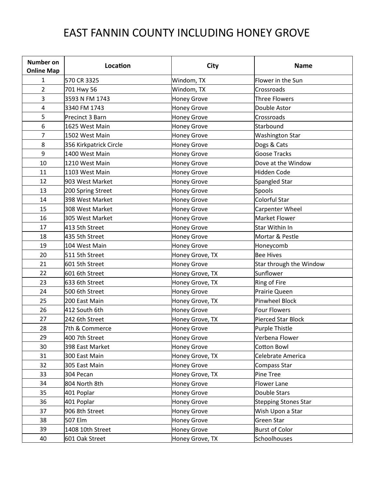## EAST FANNIN COUNTY INCLUDING HONEY GROVE

| <b>Number on</b><br><b>Online Map</b> | Location               | <b>City</b>        | <b>Name</b>                 |
|---------------------------------------|------------------------|--------------------|-----------------------------|
| 1                                     | 570 CR 3325            | Windom, TX         | Flower in the Sun           |
| $\overline{2}$                        | 701 Hwy 56             | Windom, TX         | Crossroads                  |
| 3                                     | 3593 N FM 1743         | <b>Honey Grove</b> | <b>Three Flowers</b>        |
| 4                                     | 3340 FM 1743           | <b>Honey Grove</b> | Double Astor                |
| 5                                     | Precinct 3 Barn        | <b>Honey Grove</b> | Crossroads                  |
| 6                                     | 1625 West Main         | <b>Honey Grove</b> | Starbound                   |
| 7                                     | 1502 West Main         | <b>Honey Grove</b> | <b>Washington Star</b>      |
| 8                                     | 356 Kirkpatrick Circle | <b>Honey Grove</b> | Dogs & Cats                 |
| 9                                     | 1400 West Main         | <b>Honey Grove</b> | <b>Goose Tracks</b>         |
| 10                                    | 1210 West Main         | <b>Honey Grove</b> | Dove at the Window          |
| 11                                    | 1103 West Main         | <b>Honey Grove</b> | Hidden Code                 |
| 12                                    | 903 West Market        | <b>Honey Grove</b> | Spangled Star               |
| 13                                    | 200 Spring Street      | <b>Honey Grove</b> | Spools                      |
| 14                                    | 398 West Market        | <b>Honey Grove</b> | Colorful Star               |
| 15                                    | 308 West Market        | <b>Honey Grove</b> | Carpenter Wheel             |
| 16                                    | 305 West Market        | <b>Honey Grove</b> | <b>Market Flower</b>        |
| 17                                    | 413 5th Street         | <b>Honey Grove</b> | Star Within In              |
| 18                                    | 435 5th Street         | <b>Honey Grove</b> | Mortar & Pestle             |
| 19                                    | 104 West Main          | <b>Honey Grove</b> | Honeycomb                   |
| 20                                    | 511 5th Street         | Honey Grove, TX    | <b>Bee Hives</b>            |
| 21                                    | 601 5th Street         | <b>Honey Grove</b> | Star through the Window     |
| 22                                    | 601 6th Street         | Honey Grove, TX    | Sunflower                   |
| 23                                    | 633 6th Street         | Honey Grove, TX    | Ring of Fire                |
| 24                                    | 500 6th Street         | <b>Honey Grove</b> | Prairie Queen               |
| 25                                    | 200 East Main          | Honey Grove, TX    | Pinwheel Block              |
| 26                                    | 412 South 6th          | <b>Honey Grove</b> | <b>Four Flowers</b>         |
| 27                                    | 242 6th Street         | Honey Grove, TX    | <b>Pierced Star Block</b>   |
| 28                                    | 7th & Commerce         | <b>Honey Grove</b> | <b>Purple Thistle</b>       |
| 29                                    | 400 7th Street         | Honey Grove        | Verbena Flower              |
| 30                                    | 398 East Market        | <b>Honey Grove</b> | <b>Cotton Bowl</b>          |
| 31                                    | 300 East Main          | Honey Grove, TX    | Celebrate America           |
| 32                                    | 305 East Main          | <b>Honey Grove</b> | Compass Star                |
| 33                                    | 304 Pecan              | Honey Grove, TX    | Pine Tree                   |
| 34                                    | 804 North 8th          | Honey Grove        | Flower Lane                 |
| 35                                    | 401 Poplar             | <b>Honey Grove</b> | Double Stars                |
| 36                                    | 401 Poplar             | Honey Grove        | <b>Stepping Stones Star</b> |
| 37                                    | 906 8th Street         | <b>Honey Grove</b> | Wish Upon a Star            |
| 38                                    | 507 Elm                | Honey Grove        | Green Star                  |
| 39                                    | 1408 10th Street       | <b>Honey Grove</b> | <b>Burst of Color</b>       |
| 40                                    | 601 Oak Street         | Honey Grove, TX    | Schoolhouses                |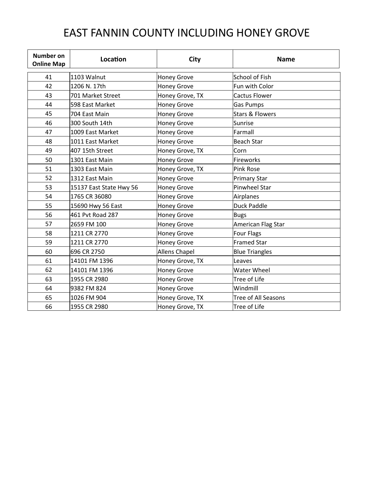### EAST FANNIN COUNTY INCLUDING HONEY GROVE

| <b>Number on</b><br><b>Online Map</b> | Location                | City                 | <b>Name</b>                |
|---------------------------------------|-------------------------|----------------------|----------------------------|
| 41                                    | 1103 Walnut             | <b>Honey Grove</b>   | School of Fish             |
| 42                                    | 1206 N. 17th            | <b>Honey Grove</b>   | Fun with Color             |
| 43                                    | 701 Market Street       | Honey Grove, TX      | <b>Cactus Flower</b>       |
| 44                                    | 598 East Market         | <b>Honey Grove</b>   | <b>Gas Pumps</b>           |
| 45                                    | 704 East Main           | <b>Honey Grove</b>   | Stars & Flowers            |
| 46                                    | 300 South 14th          | <b>Honey Grove</b>   | Sunrise                    |
| 47                                    | 1009 East Market        | <b>Honey Grove</b>   | Farmall                    |
| 48                                    | 1011 East Market        | <b>Honey Grove</b>   | Beach Star                 |
| 49                                    | 407 15th Street         | Honey Grove, TX      | Corn                       |
| 50                                    | 1301 East Main          | <b>Honey Grove</b>   | Fireworks                  |
| 51                                    | 1303 East Main          | Honey Grove, TX      | <b>Pink Rose</b>           |
| 52                                    | 1312 East Main          | <b>Honey Grove</b>   | <b>Primary Star</b>        |
| 53                                    | 15137 East State Hwy 56 | <b>Honey Grove</b>   | Pinwheel Star              |
| 54                                    | 1765 CR 36080           | <b>Honey Grove</b>   | Airplanes                  |
| 55                                    | 15690 Hwy 56 East       | <b>Honey Grove</b>   | Duck Paddle                |
| 56                                    | 461 Pvt Road 287        | <b>Honey Grove</b>   | <b>Bugs</b>                |
| 57                                    | 2659 FM 100             | <b>Honey Grove</b>   | American Flag Star         |
| 58                                    | 1211 CR 2770            | <b>Honey Grove</b>   | Four Flags                 |
| 59                                    | 1211 CR 2770            | <b>Honey Grove</b>   | <b>Framed Star</b>         |
| 60                                    | 696 CR 2750             | <b>Allens Chapel</b> | <b>Blue Triangles</b>      |
| 61                                    | 14101 FM 1396           | Honey Grove, TX      | Leaves                     |
| 62                                    | 14101 FM 1396           | <b>Honey Grove</b>   | <b>Water Wheel</b>         |
| 63                                    | 1955 CR 2980            | <b>Honey Grove</b>   | Tree of Life               |
| 64                                    | 9382 FM 824             | <b>Honey Grove</b>   | Windmill                   |
| 65                                    | 1026 FM 904             | Honey Grove, TX      | <b>Tree of All Seasons</b> |
| 66                                    | 1955 CR 2980            | Honey Grove, TX      | Tree of Life               |